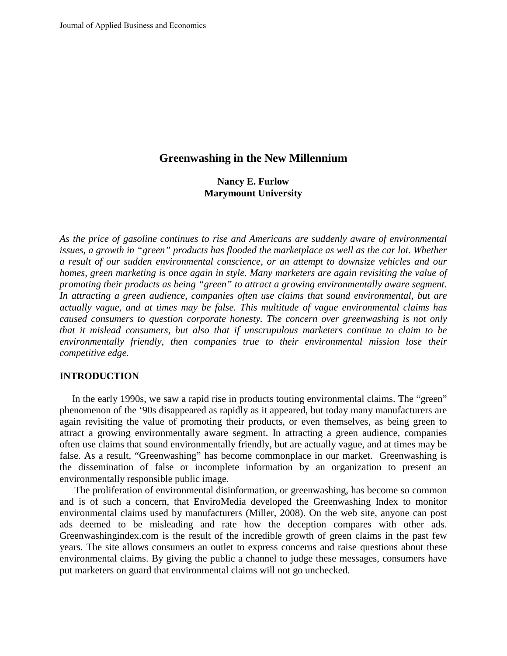# **Greenwashing in the New Millennium**

**Nancy E. Furlow Marymount University**

*As the price of gasoline continues to rise and Americans are suddenly aware of environmental issues, a growth in "green" products has flooded the marketplace as well as the car lot. Whether a result of our sudden environmental conscience, or an attempt to downsize vehicles and our homes, green marketing is once again in style. Many marketers are again revisiting the value of promoting their products as being "green" to attract a growing environmentally aware segment. In attracting a green audience, companies often use claims that sound environmental, but are actually vague, and at times may be false. This multitude of vague environmental claims has caused consumers to question corporate honesty. The concern over greenwashing is not only that it mislead consumers, but also that if unscrupulous marketers continue to claim to be environmentally friendly, then companies true to their environmental mission lose their competitive edge.* 

#### **INTRODUCTION**

In the early 1990s, we saw a rapid rise in products touting environmental claims. The "green" phenomenon of the '90s disappeared as rapidly as it appeared, but today many manufacturers are again revisiting the value of promoting their products, or even themselves, as being green to attract a growing environmentally aware segment. In attracting a green audience, companies often use claims that sound environmentally friendly, but are actually vague, and at times may be false. As a result, "Greenwashing" has become commonplace in our market. Greenwashing is the dissemination of false or incomplete information by an organization to present an environmentally responsible public image.

The proliferation of environmental disinformation, or greenwashing, has become so common and is of such a concern, that EnviroMedia developed the Greenwashing Index to monitor environmental claims used by manufacturers (Miller, 2008). On the web site, anyone can post ads deemed to be misleading and rate how the deception compares with other ads. Greenwashingindex.com is the result of the incredible growth of green claims in the past few years. The site allows consumers an outlet to express concerns and raise questions about these environmental claims. By giving the public a channel to judge these messages, consumers have put marketers on guard that environmental claims will not go unchecked.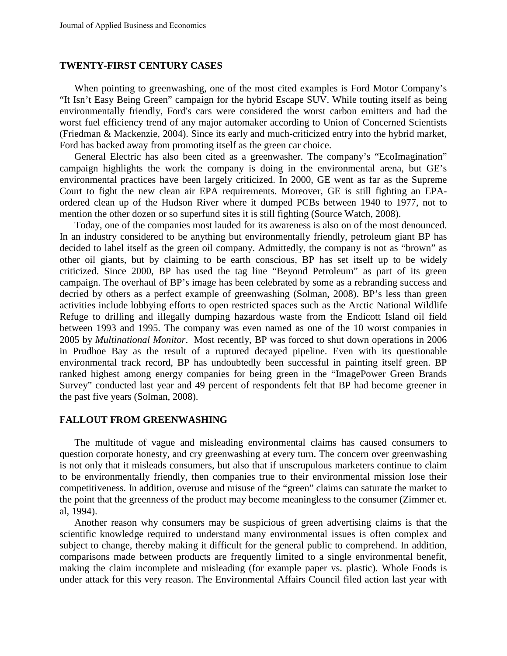## **TWENTY-FIRST CENTURY CASES**

When pointing to greenwashing, one of the most cited examples is Ford Motor Company's "It Isn't Easy Being Green" campaign for the hybrid Escape SUV. While touting itself as being environmentally friendly, Ford's cars were considered the worst carbon emitters and had the worst fuel efficiency trend of any major automaker according to Union of Concerned Scientists (Friedman & Mackenzie, 2004). Since its early and much-criticized entry into the hybrid market, Ford has backed away from promoting itself as the green car choice.

General Electric has also been cited as a greenwasher. The company's "EcoImagination" campaign highlights the work the company is doing in the environmental arena, but GE's environmental practices have been largely criticized. In 2000, GE went as far as the Supreme Court to fight the new clean air EPA requirements. Moreover, GE is still fighting an EPAordered clean up of the Hudson River where it dumped PCBs between 1940 to 1977, not to mention the other dozen or so superfund sites it is still fighting (Source Watch, 2008).

Today, one of the companies most lauded for its awareness is also on of the most denounced. In an industry considered to be anything but environmentally friendly, petroleum giant BP has decided to label itself as the green oil company. Admittedly, the company is not as "brown" as other oil giants, but by claiming to be earth conscious, BP has set itself up to be widely criticized. Since 2000, BP has used the tag line "Beyond Petroleum" as part of its green campaign. The overhaul of BP's image has been celebrated by some as a rebranding success and decried by others as a perfect example of greenwashing (Solman, 2008). BP's less than green activities include lobbying efforts to open restricted spaces such as the Arctic National Wildlife Refuge to drilling and illegally dumping hazardous waste from the Endicott Island oil field between 1993 and 1995. The company was even named as one of the 10 worst companies in 2005 by *Multinational Monitor*. Most recently, BP was forced to shut down operations in 2006 in Prudhoe Bay as the result of a ruptured decayed pipeline. Even with its questionable environmental track record, BP has undoubtedly been successful in painting itself green. BP ranked highest among energy companies for being green in the "ImagePower Green Brands Survey" conducted last year and 49 percent of respondents felt that BP had become greener in the past five years (Solman, 2008).

#### **FALLOUT FROM GREENWASHING**

The multitude of vague and misleading environmental claims has caused consumers to question corporate honesty, and cry greenwashing at every turn. The concern over greenwashing is not only that it misleads consumers, but also that if unscrupulous marketers continue to claim to be environmentally friendly, then companies true to their environmental mission lose their competitiveness. In addition, overuse and misuse of the "green" claims can saturate the market to the point that the greenness of the product may become meaningless to the consumer (Zimmer et. al, 1994).

Another reason why consumers may be suspicious of green advertising claims is that the scientific knowledge required to understand many environmental issues is often complex and subject to change, thereby making it difficult for the general public to comprehend. In addition, comparisons made between products are frequently limited to a single environmental benefit, making the claim incomplete and misleading (for example paper vs. plastic). Whole Foods is under attack for this very reason. The Environmental Affairs Council filed action last year with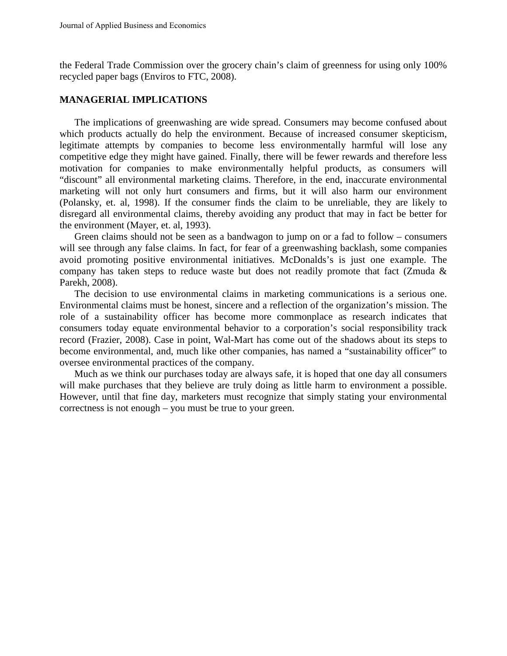the Federal Trade Commission over the grocery chain's claim of greenness for using only 100% recycled paper bags (Enviros to FTC, 2008).

## **MANAGERIAL IMPLICATIONS**

The implications of greenwashing are wide spread. Consumers may become confused about which products actually do help the environment. Because of increased consumer skepticism, legitimate attempts by companies to become less environmentally harmful will lose any competitive edge they might have gained. Finally, there will be fewer rewards and therefore less motivation for companies to make environmentally helpful products, as consumers will "discount" all environmental marketing claims. Therefore, in the end, inaccurate environmental marketing will not only hurt consumers and firms, but it will also harm our environment (Polansky, et. al, 1998). If the consumer finds the claim to be unreliable, they are likely to disregard all environmental claims, thereby avoiding any product that may in fact be better for the environment (Mayer, et. al, 1993).

Green claims should not be seen as a bandwagon to jump on or a fad to follow – consumers will see through any false claims. In fact, for fear of a greenwashing backlash, some companies avoid promoting positive environmental initiatives. McDonalds's is just one example. The company has taken steps to reduce waste but does not readily promote that fact (Zmuda & Parekh, 2008).

The decision to use environmental claims in marketing communications is a serious one. Environmental claims must be honest, sincere and a reflection of the organization's mission. The role of a sustainability officer has become more commonplace as research indicates that consumers today equate environmental behavior to a corporation's social responsibility track record (Frazier, 2008). Case in point, Wal-Mart has come out of the shadows about its steps to become environmental, and, much like other companies, has named a "sustainability officer" to oversee environmental practices of the company.

Much as we think our purchases today are always safe, it is hoped that one day all consumers will make purchases that they believe are truly doing as little harm to environment a possible. However, until that fine day, marketers must recognize that simply stating your environmental correctness is not enough – you must be true to your green.